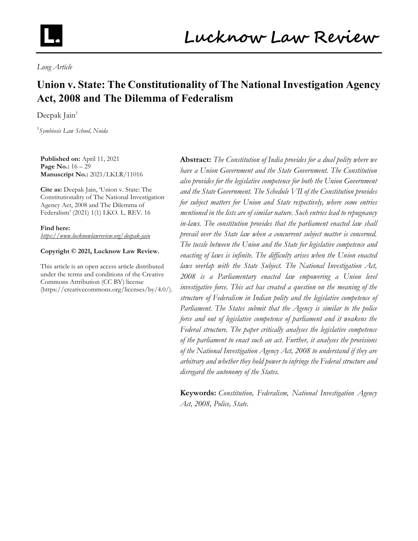

Long Article

# Union v. State: The Constitutionality of The National Investigation Agency Act, 2008 and The Dilemma of Federalism

Deepak Jain $1$ 

<sup>1</sup>Symbiosis Law School, Noida

Published on: April 11, 2021 Page No.: 16 - 29 Manuscript No.: 2021/LKLR/11016

Cite as: Deepak Jain, 'Union v. State: The Constitutionality of The National Investigation Agency Act, 2008 and The Dilemma of Federalism' (2021) 1(1) LKO. L. REV. 16

Find here: https://www.lucknowlawreview.org/deepak-jain

#### Copyright © 2021, Lucknow Law Review.

This article is an open access article distributed under the terms and conditions of the Creative Commons Attribution (CC BY) license (https://creativecommons.org/licenses/by/4.0/).

Abstract: The Constitution of India provides for a dual polity where we have a Union Government and the State Government. The Constitution also provides for the legislative competence for both the Union Government and the State Government. The Schedule VII of the Constitution provides for subject matters for Union and State respectively, where some entries mentioned in the lists are of similar nature. Such entries lead to repugnancy in-laws. The constitution provides that the parliament enacted law shall prevail over the State law when a concurrent subject matter is concerned. The tussle between the Union and the State for legislative competence and enacting of laws is infinite. The difficulty arises when the Union enacted laws overlap with the State Subject. The National Investigation Act, 2008 is a Parliamentary enacted law empowering a Union level investigative force. This act has created a question on the meaning of the structure of Federalism in Indian polity and the legislative competence of Parliament. The States submit that the Agency is similar to the police force and out of legislative competence of parliament and it weakens the Federal structure. The paper critically analyses the legislative competence of the parliament to enact such an act. Further, it analyses the provisions of the National Investigation Agency Act, 2008 to understand if they are arbitrary and whether they hold power to infringe the Federal structure and disregard the autonomy of the States.

**Keywords:** Constitution, Federalism, National Investigation Agency Act, 2008, Police, State.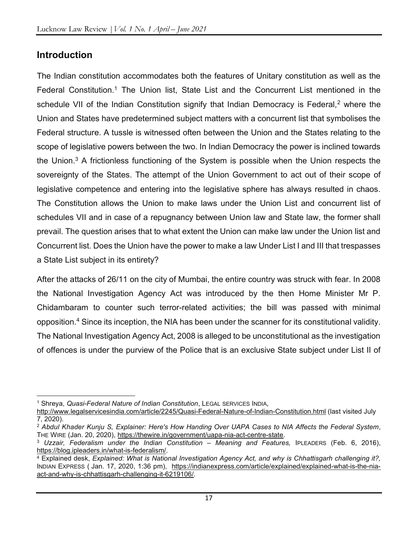#### **Introduction**

The Indian constitution accommodates both the features of Unitary constitution as well as the Federal Constitution.<sup>1</sup> The Union list, State List and the Concurrent List mentioned in the schedule VII of the Indian Constitution signify that Indian Democracy is Federal,<sup>2</sup> where the Union and States have predetermined subject matters with a concurrent list that symbolises the Federal structure. A tussle is witnessed often between the Union and the States relating to the scope of legislative powers between the two. In Indian Democracy the power is inclined towards the Union.<sup>3</sup> A frictionless functioning of the System is possible when the Union respects the sovereignty of the States. The attempt of the Union Government to act out of their scope of legislative competence and entering into the legislative sphere has always resulted in chaos. The Constitution allows the Union to make laws under the Union List and concurrent list of schedules VII and in case of a repugnancy between Union law and State law, the former shall prevail. The question arises that to what extent the Union can make law under the Union list and Concurrent list. Does the Union have the power to make a law Under List I and III that trespasses a State List subject in its entirety?

After the attacks of 26/11 on the city of Mumbai, the entire country was struck with fear. In 2008 the National Investigation Agency Act was introduced by the then Home Minister Mr P. Chidambaram to counter such terror-related activities; the bill was passed with minimal opposition.<sup>4</sup> Since its inception, the NIA has been under the scanner for its constitutional validity. The National Investigation Agency Act, 2008 is alleged to be unconstitutional as the investigation of offences is under the purview of the Police that is an exclusive State subject under List II of

<sup>&</sup>lt;sup>1</sup> Shreya, Quasi-Federal Nature of Indian Constitution, LEGAL SERVICES INDIA,

http://www.legalservicesindia.com/article/2245/Quasi-Federal-Nature-of-Indian-Constitution.html (last visited July 7, 2020).

<sup>&</sup>lt;sup>2</sup> Abdul Khader Kunju S, Explainer: Here's How Handing Over UAPA Cases to NIA Affects the Federal System, THE WIRE (Jan. 20, 2020), https://thewire.in/government/uapa-nia-act-centre-state.

<sup>&</sup>lt;sup>3</sup> Uzzair, Federalism under the Indian Constitution - Meaning and Features, IPLEADERS (Feb. 6, 2016), https://blog.ipleaders.in/what-is-federalism/.

<sup>4</sup> Explained desk, Explained: What is National Investigation Agency Act, and why is Chhattisgarh challenging it?, INDIAN EXPRESS ( Jan. 17, 2020, 1:36 pm), https://indianexpress.com/article/explained/explained-what-is-the-niaact-and-why-is-chhattisgarh-challenging-it-6219106/.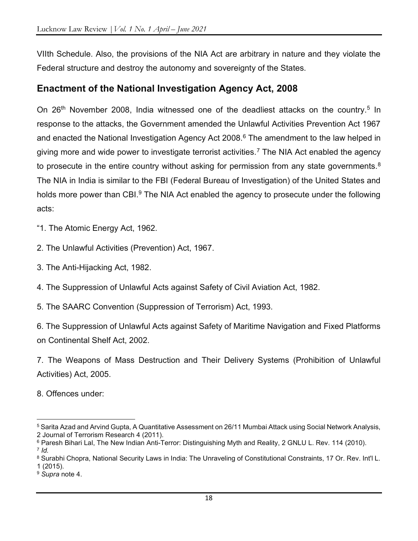VIIth Schedule. Also, the provisions of the NIA Act are arbitrary in nature and they violate the Federal structure and destroy the autonomy and sovereignty of the States.

#### Enactment of the National Investigation Agency Act, 2008

On 26<sup>th</sup> November 2008, India witnessed one of the deadliest attacks on the country.<sup>5</sup> In response to the attacks, the Government amended the Unlawful Activities Prevention Act 1967 and enacted the National Investigation Agency Act 2008.<sup>6</sup> The amendment to the law helped in giving more and wide power to investigate terrorist activities.<sup>7</sup> The NIA Act enabled the agency to prosecute in the entire country without asking for permission from any state governments.<sup>8</sup> The NIA in India is similar to the FBI (Federal Bureau of Investigation) of the United States and holds more power than CBI.<sup>9</sup> The NIA Act enabled the agency to prosecute under the following acts:

"1. The Atomic Energy Act, 1962.

2. The Unlawful Activities (Prevention) Act, 1967.

3. The Anti-Hijacking Act, 1982.

4. The Suppression of Unlawful Acts against Safety of Civil Aviation Act, 1982.

5. The SAARC Convention (Suppression of Terrorism) Act, 1993.

6. The Suppression of Unlawful Acts against Safety of Maritime Navigation and Fixed Platforms on Continental Shelf Act, 2002.

7. The Weapons of Mass Destruction and Their Delivery Systems (Prohibition of Unlawful Activities) Act, 2005.

8. Offences under:

<sup>5</sup> Sarita Azad and Arvind Gupta, A Quantitative Assessment on 26/11 Mumbai Attack using Social Network Analysis, 2 Journal of Terrorism Research 4 (2011).

 $^6$  Paresh Bihari Lal, The New Indian Anti-Terror: Distinguishing Myth and Reality, 2 GNLU L. Rev. 114 (2010). 7 Id.

 $^8$  Surabhi Chopra, National Security Laws in India: The Unraveling of Constitutional Constraints, 17 Or. Rev. Int'l L. 1 (2015).

<sup>&</sup>lt;sup>9</sup> Supra note 4.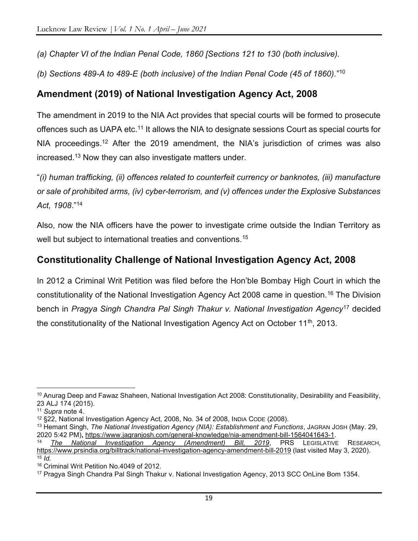(a) Chapter VI of the Indian Penal Code, 1860 [Sections 121 to 130 (both inclusive).

(b) Sections 489-A to 489-E (both inclusive) of the Indian Penal Code (45 of 1860)."<sup>10</sup>

### Amendment (2019) of National Investigation Agency Act, 2008

The amendment in 2019 to the NIA Act provides that special courts will be formed to prosecute offences such as UAPA etc.<sup>11</sup> It allows the NIA to designate sessions Court as special courts for NIA proceedings.<sup>12</sup> After the 2019 amendment, the NIA's jurisdiction of crimes was also increased.<sup>13</sup> Now they can also investigate matters under.

"(i) human trafficking, (ii) offences related to counterfeit currency or banknotes, (iii) manufacture or sale of prohibited arms, (iv) cyber-terrorism, and (v) offences under the Explosive Substances Act, 1908."<sup>14</sup>

Also, now the NIA officers have the power to investigate crime outside the Indian Territory as well but subject to international treaties and conventions.<sup>15</sup>

# Constitutionality Challenge of National Investigation Agency Act, 2008

In 2012 a Criminal Writ Petition was filed before the Hon'ble Bombay High Court in which the constitutionality of the National Investigation Agency Act 2008 came in question.<sup>16</sup> The Division bench in Pragya Singh Chandra Pal Singh Thakur v. National Investigation Agency<sup>17</sup> decided the constitutionality of the National Investigation Agency Act on October 11<sup>th</sup>, 2013.

<sup>&</sup>lt;sup>10</sup> Anurag Deep and Fawaz Shaheen, National Investigation Act 2008: Constitutionality, Desirability and Feasibility, 23 ALJ 174 (2015).

<sup>11</sup> Supra note 4.

<sup>12</sup> §22, National Investigation Agency Act, 2008, No. 34 of 2008, INDIA CODE (2008).

<sup>&</sup>lt;sup>13</sup> Hemant Singh, The National Investigation Agency (NIA): Establishment and Functions, JAGRAN JOSH (May. 29, 2020 5:42 PM), https://www.jagranjosh.com/general-knowledge/nia-amendment-bill-1564041643-1.

The National Investigation Agency (Amendment) Bill, 2019, PRS LEGISLATIVE RESEARCH, https://www.prsindia.org/billtrack/national-investigation-agency-amendment-bill-2019 (last visited May 3, 2020).  $15$  *Id.* 

<sup>16</sup> Criminal Writ Petition No.4049 of 2012.

<sup>17</sup> Pragya Singh Chandra Pal Singh Thakur v. National Investigation Agency, 2013 SCC OnLine Bom 1354.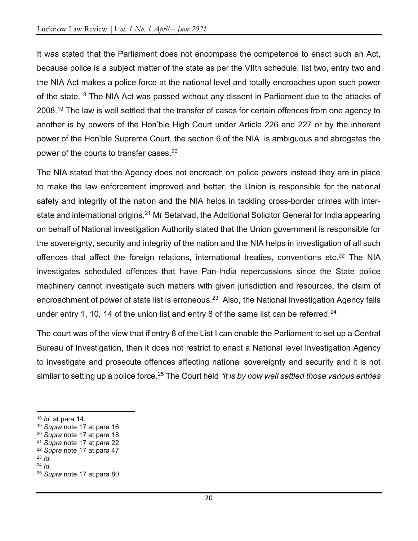It was stated that the Parliament does not encompass the competence to enact such an Act, because police is a subject matter of the state as per the VIIth schedule, list two, entry two and the NIA Act makes a police force at the national level and totally encroaches upon such power of the state.<sup>18</sup> The NIA Act was passed without any dissent in Parliament due to the attacks of 2008.<sup>19</sup> The law is well settled that the transfer of cases for certain offences from one agency to another is by powers of the Hon'ble High Court under Article 226 and 227 or by the inherent power of the Hon'ble Supreme Court, the section 6 of the NIA is ambiguous and abrogates the power of the courts to transfer cases.<sup>20</sup>

The NIA stated that the Agency does not encroach on police powers instead they are in place to make the law enforcement improved and better, the Union is responsible for the national safety and integrity of the nation and the NIA helps in tackling cross-border crimes with interstate and international origins.<sup>21</sup> Mr Setalvad, the Additional Solicitor General for India appearing on behalf of National investigation Authority stated that the Union government is responsible for the sovereignty, security and integrity of the nation and the NIA helps in investigation of all such offences that affect the foreign relations, international treaties, conventions etc.<sup>22</sup> The NIA investigates scheduled offences that have Pan-India repercussions since the State police machinery cannot investigate such matters with given jurisdiction and resources, the claim of encroachment of power of state list is erroneous.<sup>23</sup> Also, the National Investigation Agency falls under entry 1, 10, 14 of the union list and entry 8 of the same list can be referred.<sup>24</sup>

The court was of the view that if entry 8 of the List I can enable the Parliament to set up a Central Bureau of Investigation, then it does not restrict to enact a National level Investigation Agency to investigate and prosecute offences affecting national sovereignty and security and it is not similar to setting up a police force.<sup>25</sup> The Court held "it is by now well settled those various entries

 $18$  *Id.* at para 14.

<sup>&</sup>lt;sup>19</sup> Supra note 17 at para 16.

<sup>20</sup> Supra note 17 at para 18.

<sup>&</sup>lt;sup>21</sup> Supra note 17 at para 22.

<sup>22</sup> Supra note 17 at para 47.

 $23$  *Id.* 

 $24$  Id.

<sup>&</sup>lt;sup>25</sup> Supra note 17 at para 80.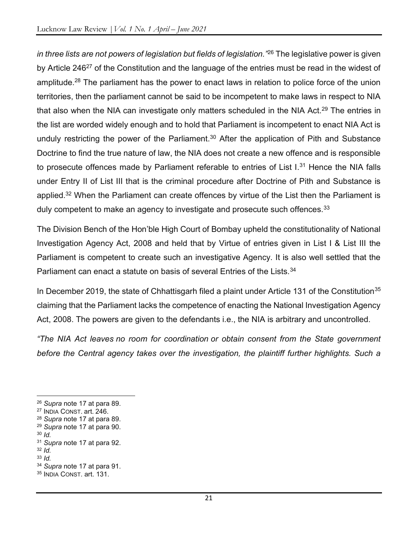in three lists are not powers of legislation but fields of legislation."<sup>26</sup> The legislative power is given by Article 246<sup>27</sup> of the Constitution and the language of the entries must be read in the widest of amplitude.<sup>28</sup> The parliament has the power to enact laws in relation to police force of the union territories, then the parliament cannot be said to be incompetent to make laws in respect to NIA that also when the NIA can investigate only matters scheduled in the NIA Act.<sup>29</sup> The entries in the list are worded widely enough and to hold that Parliament is incompetent to enact NIA Act is unduly restricting the power of the Parliament.<sup>30</sup> After the application of Pith and Substance Doctrine to find the true nature of law, the NIA does not create a new offence and is responsible to prosecute offences made by Parliament referable to entries of List  $I^{31}$  Hence the NIA falls under Entry II of List III that is the criminal procedure after Doctrine of Pith and Substance is applied.<sup>32</sup> When the Parliament can create offences by virtue of the List then the Parliament is duly competent to make an agency to investigate and prosecute such offences.<sup>33</sup>

The Division Bench of the Hon'ble High Court of Bombay upheld the constitutionality of National Investigation Agency Act, 2008 and held that by Virtue of entries given in List I & List III the Parliament is competent to create such an investigative Agency. It is also well settled that the Parliament can enact a statute on basis of several Entries of the Lists.<sup>34</sup>

In December 2019, the state of Chhattisgarh filed a plaint under Article 131 of the Constitution<sup>35</sup> claiming that the Parliament lacks the competence of enacting the National Investigation Agency Act, 2008. The powers are given to the defendants i.e., the NIA is arbitrary and uncontrolled.

"The NIA Act leaves no room for coordination or obtain consent from the State government before the Central agency takes over the investigation, the plaintiff further highlights. Such a

 $30$  Id.

<sup>26</sup> Supra note 17 at para 89.

<sup>27</sup> INDIA CONST. art. 246.

<sup>28</sup> Supra note 17 at para 89.

 $29$  Supra note 17 at para 90.

<sup>&</sup>lt;sup>31</sup> Supra note 17 at para 92.

 $32$  Id.

 $33$  Id.

<sup>34</sup> Supra note 17 at para 91.

<sup>35</sup> INDIA CONST. art. 131.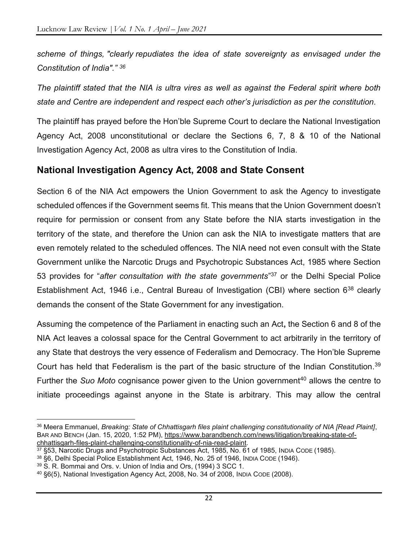scheme of things, "clearly repudiates the idea of state sovereignty as envisaged under the Constitution of India"." <sup>36</sup>

The plaintiff stated that the NIA is ultra vires as well as against the Federal spirit where both state and Centre are independent and respect each other's jurisdiction as per the constitution.

The plaintiff has prayed before the Hon'ble Supreme Court to declare the National Investigation Agency Act, 2008 unconstitutional or declare the Sections 6, 7, 8 & 10 of the National Investigation Agency Act, 2008 as ultra vires to the Constitution of India.

#### National Investigation Agency Act, 2008 and State Consent

Section 6 of the NIA Act empowers the Union Government to ask the Agency to investigate scheduled offences if the Government seems fit. This means that the Union Government doesn't require for permission or consent from any State before the NIA starts investigation in the territory of the state, and therefore the Union can ask the NIA to investigate matters that are even remotely related to the scheduled offences. The NIA need not even consult with the State Government unlike the Narcotic Drugs and Psychotropic Substances Act, 1985 where Section 53 provides for "after consultation with the state governments"<sup>37</sup> or the Delhi Special Police Establishment Act, 1946 i.e., Central Bureau of Investigation (CBI) where section 6<sup>38</sup> clearly demands the consent of the State Government for any investigation.

Assuming the competence of the Parliament in enacting such an Act, the Section 6 and 8 of the NIA Act leaves a colossal space for the Central Government to act arbitrarily in the territory of any State that destroys the very essence of Federalism and Democracy. The Hon'ble Supreme Court has held that Federalism is the part of the basic structure of the Indian Constitution.<sup>39</sup> Further the Suo Moto cognisance power given to the Union government<sup>40</sup> allows the centre to initiate proceedings against anyone in the State is arbitrary. This may allow the central

<sup>36</sup> Meera Emmanuel, Breaking: State of Chhattisgarh files plaint challenging constitutionality of NIA [Read Plaint], BAR AND BENCH (Jan. 15, 2020, 1:52 PM), https://www.barandbench.com/news/litigation/breaking-state-ofchhattisgarh-files-plaint-challenging-constitutionality-of-nia-read-plaint.

<sup>37</sup> §53, Narcotic Drugs and Psychotropic Substances Act, 1985, No. 61 of 1985, INDIA CODE (1985).

<sup>38 §6,</sup> Delhi Special Police Establishment Act, 1946, No. 25 of 1946, INDIA CODE (1946).

<sup>39</sup> S. R. Bommai and Ors. v. Union of India and Ors, (1994) 3 SCC 1.

<sup>40</sup> §6(5), National Investigation Agency Act, 2008, No. 34 of 2008, INDIA CODE (2008).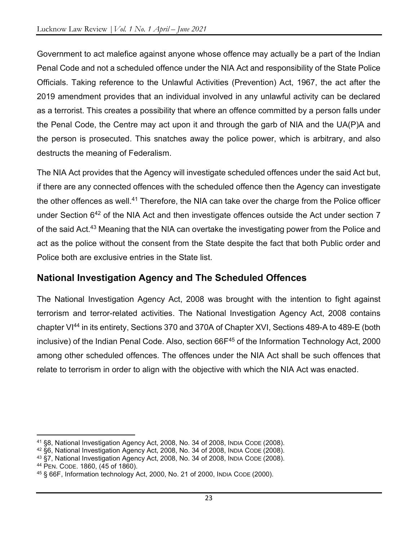Government to act malefice against anyone whose offence may actually be a part of the Indian Penal Code and not a scheduled offence under the NIA Act and responsibility of the State Police Officials. Taking reference to the Unlawful Activities (Prevention) Act, 1967, the act after the 2019 amendment provides that an individual involved in any unlawful activity can be declared as a terrorist. This creates a possibility that where an offence committed by a person falls under the Penal Code, the Centre may act upon it and through the garb of NIA and the UA(P)A and the person is prosecuted. This snatches away the police power, which is arbitrary, and also destructs the meaning of Federalism.

The NIA Act provides that the Agency will investigate scheduled offences under the said Act but, if there are any connected offences with the scheduled offence then the Agency can investigate the other offences as well.<sup>41</sup> Therefore, the NIA can take over the charge from the Police officer under Section 6<sup>42</sup> of the NIA Act and then investigate offences outside the Act under section 7 of the said Act.<sup>43</sup> Meaning that the NIA can overtake the investigating power from the Police and act as the police without the consent from the State despite the fact that both Public order and Police both are exclusive entries in the State list.

# National Investigation Agency and The Scheduled Offences

The National Investigation Agency Act, 2008 was brought with the intention to fight against terrorism and terror-related activities. The National Investigation Agency Act, 2008 contains chapter VI<sup>44</sup> in its entirety, Sections 370 and 370A of Chapter XVI, Sections 489-A to 489-E (both inclusive) of the Indian Penal Code. Also, section  $66F^{45}$  of the Information Technology Act, 2000 among other scheduled offences. The offences under the NIA Act shall be such offences that relate to terrorism in order to align with the objective with which the NIA Act was enacted.

<sup>41</sup> §8, National Investigation Agency Act, 2008, No. 34 of 2008, INDIA CODE (2008).

<sup>42</sup> §6, National Investigation Agency Act, 2008, No. 34 of 2008, INDIA CODE (2008).

<sup>43</sup> §7, National Investigation Agency Act, 2008, No. 34 of 2008, INDIA CODE (2008).

<sup>44</sup> PEN. CODE. 1860, (45 of 1860).

<sup>45</sup> § 66F, Information technology Act, 2000, No. 21 of 2000, INDIA CODE (2000).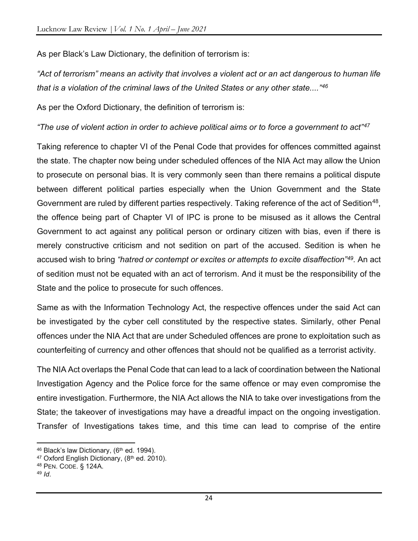As per Black's Law Dictionary, the definition of terrorism is:

"Act of terrorism" means an activity that involves a violent act or an act dangerous to human life that is a violation of the criminal laws of the United States or any other state...."<sup>46</sup>

As per the Oxford Dictionary, the definition of terrorism is:

"The use of violent action in order to achieve political aims or to force a government to act"<sup>47</sup>

Taking reference to chapter VI of the Penal Code that provides for offences committed against the state. The chapter now being under scheduled offences of the NIA Act may allow the Union to prosecute on personal bias. It is very commonly seen than there remains a political dispute between different political parties especially when the Union Government and the State Government are ruled by different parties respectively. Taking reference of the act of Sedition<sup>48</sup>, the offence being part of Chapter VI of IPC is prone to be misused as it allows the Central Government to act against any political person or ordinary citizen with bias, even if there is merely constructive criticism and not sedition on part of the accused. Sedition is when he accused wish to bring "hatred or contempt or excites or attempts to excite disaffection"<sup>49</sup>. An act of sedition must not be equated with an act of terrorism. And it must be the responsibility of the State and the police to prosecute for such offences.

Same as with the Information Technology Act, the respective offences under the said Act can be investigated by the cyber cell constituted by the respective states. Similarly, other Penal offences under the NIA Act that are under Scheduled offences are prone to exploitation such as counterfeiting of currency and other offences that should not be qualified as a terrorist activity.

The NIA Act overlaps the Penal Code that can lead to a lack of coordination between the National Investigation Agency and the Police force for the same offence or may even compromise the entire investigation. Furthermore, the NIA Act allows the NIA to take over investigations from the State; the takeover of investigations may have a dreadful impact on the ongoing investigation. Transfer of Investigations takes time, and this time can lead to comprise of the entire

<sup>46</sup> Black's law Dictionary, (6<sup>th</sup> ed. 1994).

<sup>&</sup>lt;sup>47</sup> Oxford English Dictionary, (8<sup>th</sup> ed. 2010).

<sup>48</sup> PEN. CODE. § 124A.

 $49$  Id.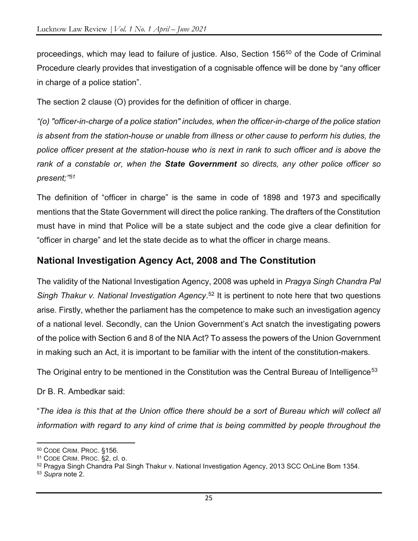proceedings, which may lead to failure of justice. Also, Section 156<sup>50</sup> of the Code of Criminal Procedure clearly provides that investigation of a cognisable offence will be done by "any officer in charge of a police station".

The section 2 clause (O) provides for the definition of officer in charge.

"(o) "officer-in-charge of a police station" includes, when the officer-in-charge of the police station is absent from the station-house or unable from illness or other cause to perform his duties, the police officer present at the station-house who is next in rank to such officer and is above the rank of a constable or, when the **State Government** so directs, any other police officer so present;"<sup>51</sup>

The definition of "officer in charge" is the same in code of 1898 and 1973 and specifically mentions that the State Government will direct the police ranking. The drafters of the Constitution must have in mind that Police will be a state subject and the code give a clear definition for "officer in charge" and let the state decide as to what the officer in charge means.

#### National Investigation Agency Act, 2008 and The Constitution

The validity of the National Investigation Agency, 2008 was upheld in Pragya Singh Chandra Pal Singh Thakur v. National Investigation Agency.<sup>52</sup> It is pertinent to note here that two questions arise. Firstly, whether the parliament has the competence to make such an investigation agency of a national level. Secondly, can the Union Government's Act snatch the investigating powers of the police with Section 6 and 8 of the NIA Act? To assess the powers of the Union Government in making such an Act, it is important to be familiar with the intent of the constitution-makers.

The Original entry to be mentioned in the Constitution was the Central Bureau of Intelligence $^{53}$ 

Dr B. R. Ambedkar said:

"The idea is this that at the Union office there should be a sort of Bureau which will collect all information with regard to any kind of crime that is being committed by people throughout the

<sup>50</sup> CODE CRIM. PROC. §156.

<sup>51</sup> CODE CRIM. PROC. §2, cl. o.

<sup>52</sup> Pragya Singh Chandra Pal Singh Thakur v. National Investigation Agency, 2013 SCC OnLine Bom 1354.

<sup>53</sup> Supra note 2.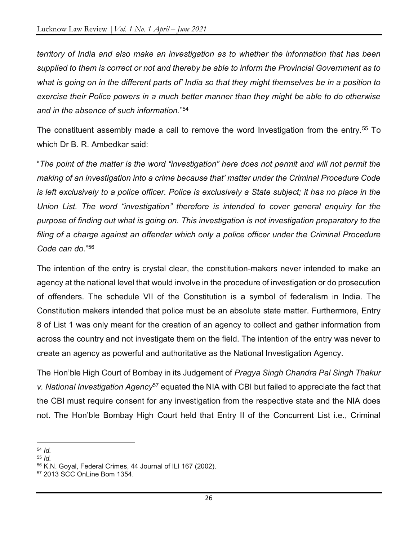territory of India and also make an investigation as to whether the information that has been supplied to them is correct or not and thereby be able to inform the Provincial Government as to what is going on in the different parts of' India so that they might themselves be in a position to exercise their Police powers in a much better manner than they might be able to do otherwise and in the absence of such information." 54

The constituent assembly made a call to remove the word Investigation from the entry.<sup>55</sup> To which Dr B. R. Ambedkar said:

"The point of the matter is the word "investigation" here does not permit and will not permit the making of an investigation into a crime because that' matter under the Criminal Procedure Code is left exclusively to a police officer. Police is exclusively a State subject; it has no place in the Union List. The word "investigation" therefore is intended to cover general enquiry for the purpose of finding out what is going on. This investigation is not investigation preparatory to the filing of a charge against an offender which only a police officer under the Criminal Procedure Code can do."<sup>56</sup>

The intention of the entry is crystal clear, the constitution-makers never intended to make an agency at the national level that would involve in the procedure of investigation or do prosecution of offenders. The schedule VII of the Constitution is a symbol of federalism in India. The Constitution makers intended that police must be an absolute state matter. Furthermore, Entry 8 of List 1 was only meant for the creation of an agency to collect and gather information from across the country and not investigate them on the field. The intention of the entry was never to create an agency as powerful and authoritative as the National Investigation Agency.

The Hon'ble High Court of Bombay in its Judgement of Pragya Singh Chandra Pal Singh Thakur v. National Investigation Agency<sup>57</sup> equated the NIA with CBI but failed to appreciate the fact that the CBI must require consent for any investigation from the respective state and the NIA does not. The Hon'ble Bombay High Court held that Entry II of the Concurrent List i.e., Criminal

 $54$  Id.

 $55$  *Id.* 

<sup>56</sup> K.N. Goyal, Federal Crimes, 44 Journal of ILI 167 (2002).

<sup>57</sup> 2013 SCC OnLine Bom 1354.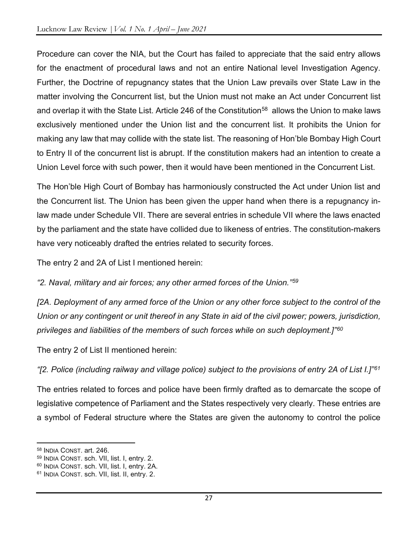Procedure can cover the NIA, but the Court has failed to appreciate that the said entry allows for the enactment of procedural laws and not an entire National level Investigation Agency. Further, the Doctrine of repugnancy states that the Union Law prevails over State Law in the matter involving the Concurrent list, but the Union must not make an Act under Concurrent list and overlap it with the State List. Article 246 of the Constitution<sup>58</sup> allows the Union to make laws exclusively mentioned under the Union list and the concurrent list. It prohibits the Union for making any law that may collide with the state list. The reasoning of Hon'ble Bombay High Court to Entry II of the concurrent list is abrupt. If the constitution makers had an intention to create a Union Level force with such power, then it would have been mentioned in the Concurrent List.

The Hon'ble High Court of Bombay has harmoniously constructed the Act under Union list and the Concurrent list. The Union has been given the upper hand when there is a repugnancy inlaw made under Schedule VII. There are several entries in schedule VII where the laws enacted by the parliament and the state have collided due to likeness of entries. The constitution-makers have very noticeably drafted the entries related to security forces.

The entry 2 and 2A of List I mentioned herein:

"2. Naval, military and air forces; any other armed forces of the Union."<sup>59</sup>

[2A. Deployment of any armed force of the Union or any other force subject to the control of the Union or any contingent or unit thereof in any State in aid of the civil power; powers, jurisdiction, privileges and liabilities of the members of such forces while on such deployment.]<sup>"60</sup>

The entry 2 of List II mentioned herein:

"[2. Police (including railway and village police) subject to the provisions of entry 2A of List I.]"61

The entries related to forces and police have been firmly drafted as to demarcate the scope of legislative competence of Parliament and the States respectively very clearly. These entries are a symbol of Federal structure where the States are given the autonomy to control the police

<sup>58</sup> INDIA CONST. art. 246.

<sup>59</sup> INDIA CONST. sch. VII, list. I, entry. 2.

<sup>60</sup> INDIA CONST. sch. VII, list. I, entry. 2A.

<sup>61</sup> INDIA CONST. sch. VII, list. II, entry. 2.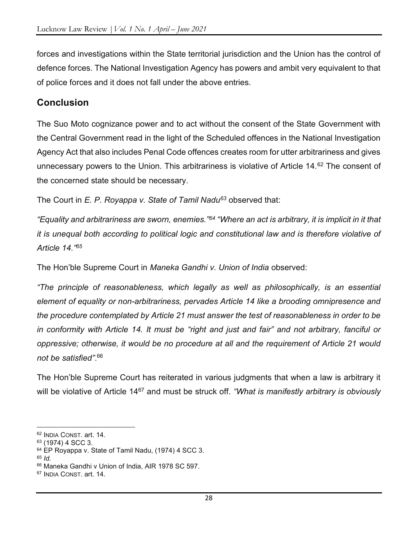forces and investigations within the State territorial jurisdiction and the Union has the control of defence forces. The National Investigation Agency has powers and ambit very equivalent to that of police forces and it does not fall under the above entries.

# **Conclusion**

The Suo Moto cognizance power and to act without the consent of the State Government with the Central Government read in the light of the Scheduled offences in the National Investigation Agency Act that also includes Penal Code offences creates room for utter arbitrariness and gives unnecessary powers to the Union. This arbitrariness is violative of Article 14.<sup>62</sup> The consent of the concerned state should be necessary.

The Court in  $E.$  P. Royappa v. State of Tamil Nadu $63$  observed that:

"Equality and arbitrariness are sworn, enemies."<sup>64</sup> "Where an act is arbitrary, it is implicit in it that it is unequal both according to political logic and constitutional law and is therefore violative of Article 14."<sup>65</sup>

The Hon'ble Supreme Court in Maneka Gandhi v. Union of India observed:

"The principle of reasonableness, which legally as well as philosophically, is an essential element of equality or non-arbitrariness, pervades Article 14 like a brooding omnipresence and the procedure contemplated by Article 21 must answer the test of reasonableness in order to be in conformity with Article 14. It must be "right and just and fair" and not arbitrary, fanciful or oppressive; otherwise, it would be no procedure at all and the requirement of Article 21 would not be satisfied". 66

The Hon'ble Supreme Court has reiterated in various judgments that when a law is arbitrary it will be violative of Article 14<sup>67</sup> and must be struck off. "What is manifestly arbitrary is obviously

 $65$  *Id.* 

<sup>62</sup> INDIA CONST. art. 14.

<sup>63</sup> (1974) 4 SCC 3.

<sup>&</sup>lt;sup>64</sup> EP Royappa v. State of Tamil Nadu, (1974) 4 SCC 3.

<sup>66</sup> Maneka Gandhi v Union of India, AIR 1978 SC 597.

<sup>67</sup> INDIA CONST. art. 14.